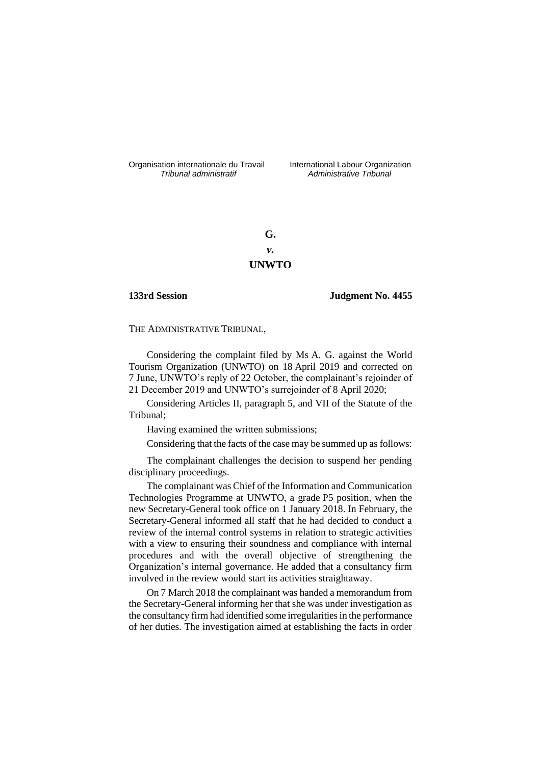Organisation internationale du Travail International Labour Organization<br>*Tribunal administratif* Administrative Tribunal

*Tribunal administratif Administrative Tribunal*

**G.** *v.* **UNWTO**

**133rd Session Judgment No. 4455**

# THE ADMINISTRATIVE TRIBUNAL,

Considering the complaint filed by Ms A. G. against the World Tourism Organization (UNWTO) on 18 April 2019 and corrected on 7 June, UNWTO's reply of 22 October, the complainant's rejoinder of 21 December 2019 and UNWTO's surrejoinder of 8 April 2020;

Considering Articles II, paragraph 5, and VII of the Statute of the Tribunal;

Having examined the written submissions;

Considering that the facts of the case may be summed up as follows:

The complainant challenges the decision to suspend her pending disciplinary proceedings.

The complainant was Chief of the Information and Communication Technologies Programme at UNWTO, a grade P5 position, when the new Secretary-General took office on 1 January 2018. In February, the Secretary-General informed all staff that he had decided to conduct a review of the internal control systems in relation to strategic activities with a view to ensuring their soundness and compliance with internal procedures and with the overall objective of strengthening the Organization's internal governance. He added that a consultancy firm involved in the review would start its activities straightaway.

On 7 March 2018 the complainant was handed a memorandum from the Secretary-General informing her that she was under investigation as the consultancy firm had identified some irregularities in the performance of her duties. The investigation aimed at establishing the facts in order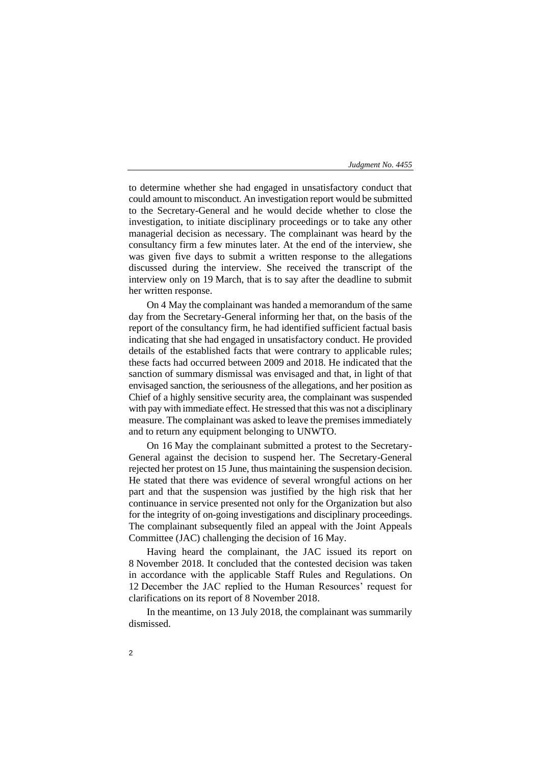to determine whether she had engaged in unsatisfactory conduct that could amount to misconduct. An investigation report would be submitted to the Secretary-General and he would decide whether to close the investigation, to initiate disciplinary proceedings or to take any other managerial decision as necessary. The complainant was heard by the consultancy firm a few minutes later. At the end of the interview, she was given five days to submit a written response to the allegations discussed during the interview. She received the transcript of the interview only on 19 March, that is to say after the deadline to submit her written response.

On 4 May the complainant was handed a memorandum of the same day from the Secretary-General informing her that, on the basis of the report of the consultancy firm, he had identified sufficient factual basis indicating that she had engaged in unsatisfactory conduct. He provided details of the established facts that were contrary to applicable rules; these facts had occurred between 2009 and 2018. He indicated that the sanction of summary dismissal was envisaged and that, in light of that envisaged sanction, the seriousness of the allegations, and her position as Chief of a highly sensitive security area, the complainant was suspended with pay with immediate effect. He stressed that this was not a disciplinary measure. The complainant was asked to leave the premises immediately and to return any equipment belonging to UNWTO.

On 16 May the complainant submitted a protest to the Secretary-General against the decision to suspend her. The Secretary-General rejected her protest on 15 June, thus maintaining the suspension decision. He stated that there was evidence of several wrongful actions on her part and that the suspension was justified by the high risk that her continuance in service presented not only for the Organization but also for the integrity of on-going investigations and disciplinary proceedings. The complainant subsequently filed an appeal with the Joint Appeals Committee (JAC) challenging the decision of 16 May.

Having heard the complainant, the JAC issued its report on 8 November 2018. It concluded that the contested decision was taken in accordance with the applicable Staff Rules and Regulations. On 12 December the JAC replied to the Human Resources' request for clarifications on its report of 8 November 2018.

In the meantime, on 13 July 2018, the complainant was summarily dismissed.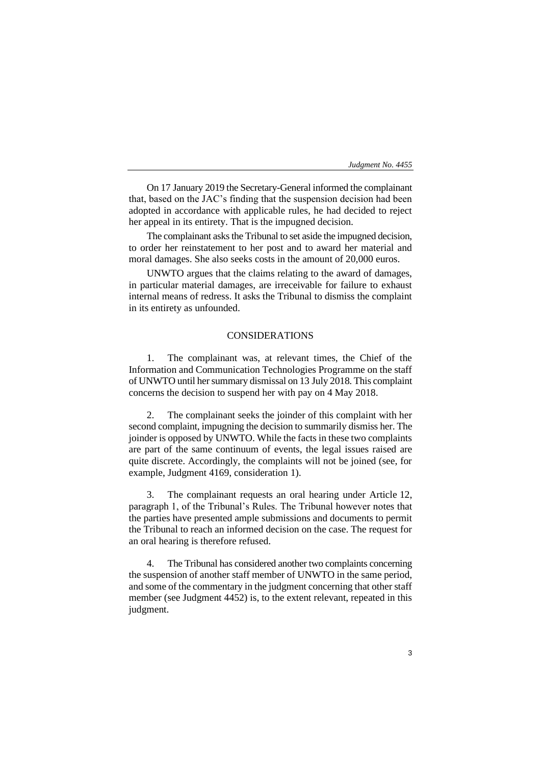On 17 January 2019 the Secretary-General informed the complainant that, based on the JAC's finding that the suspension decision had been adopted in accordance with applicable rules, he had decided to reject her appeal in its entirety. That is the impugned decision.

The complainant asks the Tribunal to set aside the impugned decision, to order her reinstatement to her post and to award her material and moral damages. She also seeks costs in the amount of 20,000 euros.

UNWTO argues that the claims relating to the award of damages, in particular material damages, are irreceivable for failure to exhaust internal means of redress. It asks the Tribunal to dismiss the complaint in its entirety as unfounded.

# CONSIDERATIONS

1. The complainant was, at relevant times, the Chief of the Information and Communication Technologies Programme on the staff of UNWTO until her summary dismissal on 13 July 2018. This complaint concerns the decision to suspend her with pay on 4 May 2018.

2. The complainant seeks the joinder of this complaint with her second complaint, impugning the decision to summarily dismiss her. The joinder is opposed by UNWTO. While the facts in these two complaints are part of the same continuum of events, the legal issues raised are quite discrete. Accordingly, the complaints will not be joined (see, for example, Judgment 4169, consideration 1).

3. The complainant requests an oral hearing under Article 12, paragraph 1, of the Tribunal's Rules. The Tribunal however notes that the parties have presented ample submissions and documents to permit the Tribunal to reach an informed decision on the case. The request for an oral hearing is therefore refused.

4. The Tribunal has considered another two complaints concerning the suspension of another staff member of UNWTO in the same period, and some of the commentary in the judgment concerning that other staff member (see Judgment 4452) is, to the extent relevant, repeated in this judgment.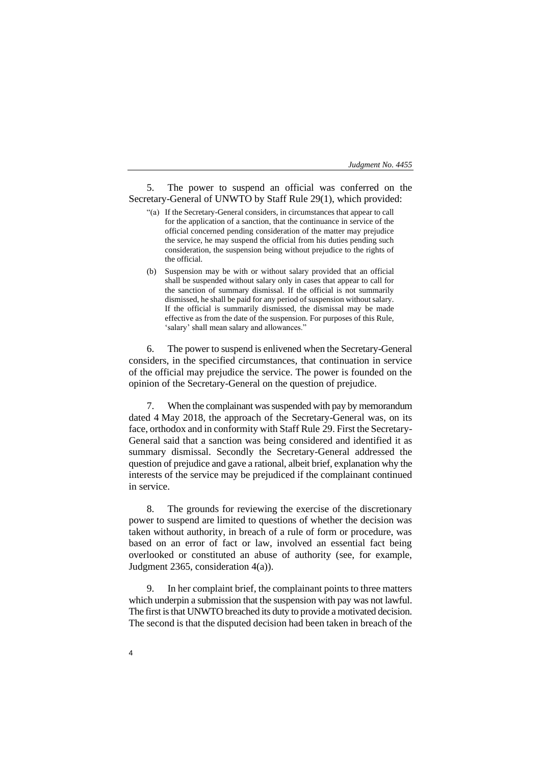5. The power to suspend an official was conferred on the Secretary-General of UNWTO by Staff Rule 29(1), which provided:

- "(a) If the Secretary-General considers, in circumstances that appear to call for the application of a sanction, that the continuance in service of the official concerned pending consideration of the matter may prejudice the service, he may suspend the official from his duties pending such consideration, the suspension being without prejudice to the rights of the official.
- (b) Suspension may be with or without salary provided that an official shall be suspended without salary only in cases that appear to call for the sanction of summary dismissal. If the official is not summarily dismissed, he shall be paid for any period of suspension without salary. If the official is summarily dismissed, the dismissal may be made effective as from the date of the suspension. For purposes of this Rule, 'salary' shall mean salary and allowances."

6. The power to suspend is enlivened when the Secretary-General considers, in the specified circumstances, that continuation in service of the official may prejudice the service. The power is founded on the opinion of the Secretary-General on the question of prejudice.

7. When the complainant was suspended with pay by memorandum dated 4 May 2018, the approach of the Secretary-General was, on its face, orthodox and in conformity with Staff Rule 29. First the Secretary-General said that a sanction was being considered and identified it as summary dismissal. Secondly the Secretary-General addressed the question of prejudice and gave a rational, albeit brief, explanation why the interests of the service may be prejudiced if the complainant continued in service.

8. The grounds for reviewing the exercise of the discretionary power to suspend are limited to questions of whether the decision was taken without authority, in breach of a rule of form or procedure, was based on an error of fact or law, involved an essential fact being overlooked or constituted an abuse of authority (see, for example, Judgment 2365, consideration 4(a)).

In her complaint brief, the complainant points to three matters which underpin a submission that the suspension with pay was not lawful. The first is that UNWTO breached its duty to provide a motivated decision. The second is that the disputed decision had been taken in breach of the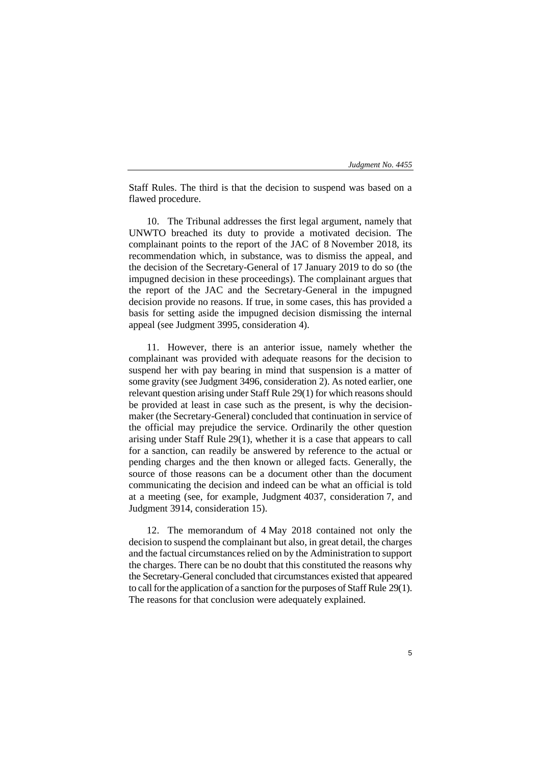Staff Rules. The third is that the decision to suspend was based on a flawed procedure.

10. The Tribunal addresses the first legal argument, namely that UNWTO breached its duty to provide a motivated decision. The complainant points to the report of the JAC of 8 November 2018, its recommendation which, in substance, was to dismiss the appeal, and the decision of the Secretary-General of 17 January 2019 to do so (the impugned decision in these proceedings). The complainant argues that the report of the JAC and the Secretary-General in the impugned decision provide no reasons. If true, in some cases, this has provided a basis for setting aside the impugned decision dismissing the internal appeal (see Judgment 3995, consideration 4).

11. However, there is an anterior issue, namely whether the complainant was provided with adequate reasons for the decision to suspend her with pay bearing in mind that suspension is a matter of some gravity (see Judgment 3496, consideration 2). As noted earlier, one relevant question arising under Staff Rule 29(1) for which reasons should be provided at least in case such as the present, is why the decisionmaker (the Secretary-General) concluded that continuation in service of the official may prejudice the service. Ordinarily the other question arising under Staff Rule 29(1), whether it is a case that appears to call for a sanction, can readily be answered by reference to the actual or pending charges and the then known or alleged facts. Generally, the source of those reasons can be a document other than the document communicating the decision and indeed can be what an official is told at a meeting (see, for example, Judgment 4037, consideration 7, and Judgment 3914, consideration 15).

12. The memorandum of 4 May 2018 contained not only the decision to suspend the complainant but also, in great detail, the charges and the factual circumstances relied on by the Administration to support the charges. There can be no doubt that this constituted the reasons why the Secretary-General concluded that circumstances existed that appeared to call for the application of a sanction for the purposes of Staff Rule 29(1). The reasons for that conclusion were adequately explained.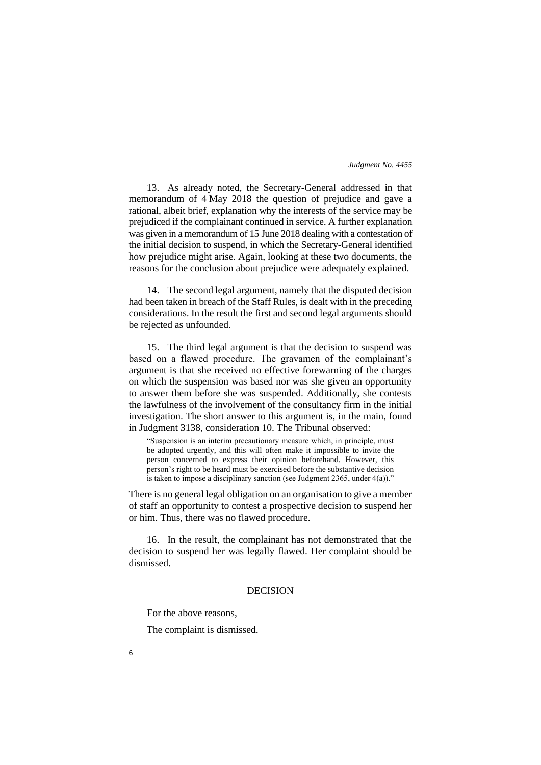13. As already noted, the Secretary-General addressed in that memorandum of 4 May 2018 the question of prejudice and gave a rational, albeit brief, explanation why the interests of the service may be prejudiced if the complainant continued in service. A further explanation was given in a memorandum of 15 June 2018 dealing with a contestation of the initial decision to suspend, in which the Secretary-General identified how prejudice might arise. Again, looking at these two documents, the reasons for the conclusion about prejudice were adequately explained.

14. The second legal argument, namely that the disputed decision had been taken in breach of the Staff Rules, is dealt with in the preceding considerations. In the result the first and second legal arguments should be rejected as unfounded.

15. The third legal argument is that the decision to suspend was based on a flawed procedure. The gravamen of the complainant's argument is that she received no effective forewarning of the charges on which the suspension was based nor was she given an opportunity to answer them before she was suspended. Additionally, she contests the lawfulness of the involvement of the consultancy firm in the initial investigation. The short answer to this argument is, in the main, found in Judgment 3138, consideration 10. The Tribunal observed:

"Suspension is an interim precautionary measure which, in principle, must be adopted urgently, and this will often make it impossible to invite the person concerned to express their opinion beforehand. However, this person's right to be heard must be exercised before the substantive decision is taken to impose a disciplinary sanction (see Judgment 2365, under  $4(a)$ ).

There is no general legal obligation on an organisation to give a member of staff an opportunity to contest a prospective decision to suspend her or him. Thus, there was no flawed procedure.

16. In the result, the complainant has not demonstrated that the decision to suspend her was legally flawed. Her complaint should be dismissed.

# DECISION

For the above reasons,

The complaint is dismissed.